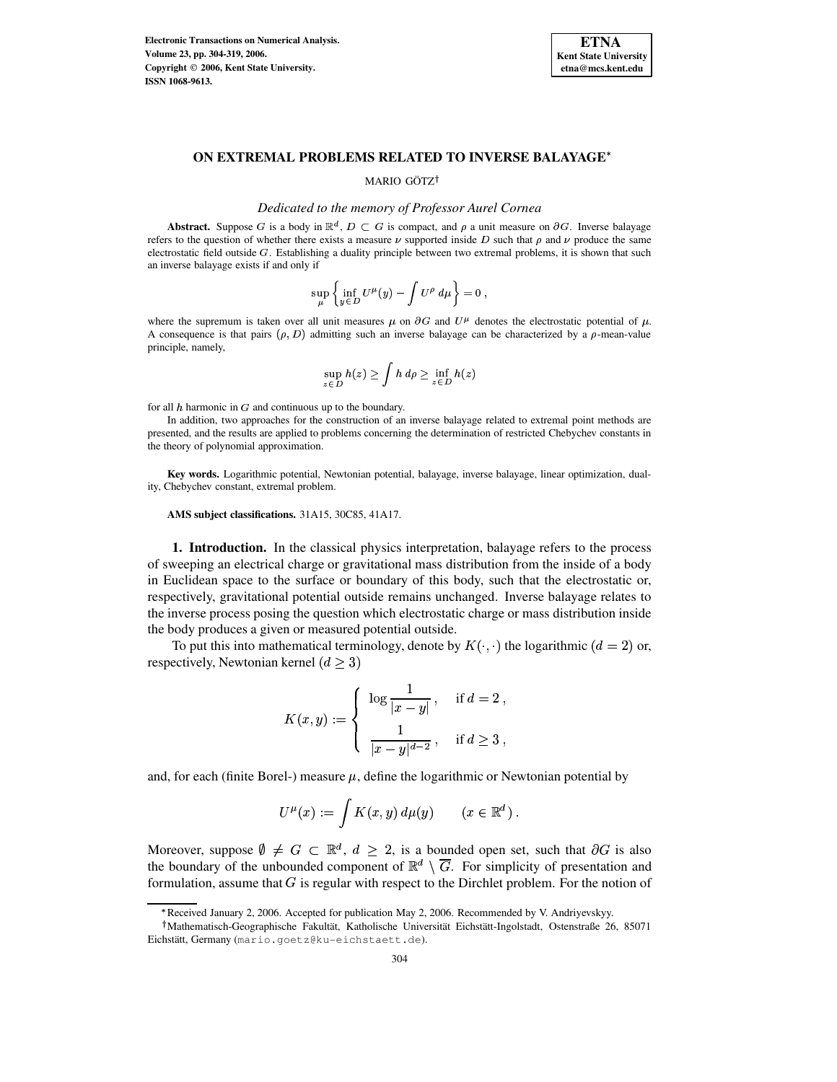**Electronic Transactions on Numerical Analysis. Volume 23, pp. 304-319, 2006. Copyright 2006, Kent State University. ISSN 1068-9613.**



## **ON EXTREMAL PROBLEMS RELATED TO INVERSE BALAYAGE**

## MARIO GÖTZ<sup>†</sup>

### *Dedicated to the memory of Professor Aurel Cornea*

**Abstract.** Suppose G is a body in  $\mathbb{R}^d$ ,  $D \subset G$  is compact, and  $\rho$  a unit measure on  $\partial G$ . Inverse balayage refers to the question of whether there exists a measure  $\nu$  supported inside D such that  $\rho$  and  $\nu$  produce the same electrostatic field outside  $G$ . Establishing a duality principle between two extremal problems, it is shown that such an inverse balayage exists if and only if

$$
\sup_{\mu}\left\{\inf_{y\in D}U^{\mu}(y)-\int U^{\rho}\ d\mu\right\}=0\ ,
$$

where the supremum is taken over all unit measures  $\mu$  on  $\partial G$  and  $U^{\mu}$  denotes the electrostatic potential of  $\mu$ . A consequence is that pairs  $(\rho, D)$  admitting such an inverse balayage can be characterized by a  $\rho$ -mean-value principle, namely,

$$
\sup_{z \in D} h(z) \ge \int h \, d\rho \ge \inf_{z \in D} h(z)
$$

for all  $h$  harmonic in  $G$  and continuous up to the boundary.

<sup>&</sup>lt; In addition, two approaches for the construction of an inverse balayage related to extremal point methods are presented, and the results are applied to problems concerning the determination of restricted Chebychev constants in the theory of polynomial approximation.

**Key words.** Logarithmic potential, Newtonian potential, balayage, inverse balayage, linear optimization, duality, Chebychev constant, extremal problem.

**AMS subject classifications.** 31A15, 30C85, 41A17.

**1. Introduction.** In the classical physics interpretation, balayage refers to the process of sweeping an electrical charge or gravitational mass distribution from the inside of a body in Euclidean space to the surface or boundary of this body, such that the electrostatic or, respectively, gravitational potential outside remains unchanged. Inverse balayage relates to the inverse process posing the question which electrostatic charge or mass distribution inside the body produces a given or measured potential outside.

To put this into mathematical terminology, denote by  $K(\cdot, \cdot)$  the logarithmic  $(d = 2)$  or, respectively, Newtonian kernel  $(d > 3)$ 

and the contract of the contract of the contract of the contract of the contract of the contract of the contract of

$$
K(x, y) := \begin{cases} \log \frac{1}{|x - y|}, & \text{if } d = 2, \\ \frac{1}{|x - y|^{d - 2}}, & \text{if } d \ge 3, \end{cases}
$$

and, for each (finite Borel-) measure  $\mu$ , define the logarithmic or Newtonian potential by

$$
U^{\mu}(x) := \int K(x, y) d\mu(y) \qquad (x \in \mathbb{R}^d) .
$$

Moreover, suppose  $\emptyset \neq G \subset \mathbb{R}^d$ ,  $d \geq 2$ , is a bounded open set, such that  $\partial G$  is also the boundary of the unbounded component of  $\mathbb{R}^d \setminus \overline{G}$ . For simplicity of presentation and formulation, assume that  $G$  is regular with respect to the Dirchlet problem. For the notion of

Received January 2, 2006. Accepted for publication May 2, 2006. Recommended by V. Andriyevskyy.

<sup>&</sup>lt;sup>†</sup>Mathematisch-Geographische Fakultät, Katholische Universität Eichstätt-Ingolstadt, Ostenstraße 26, 85071 Eichstätt, Germany (mario.goetz@ku-eichstaett.de).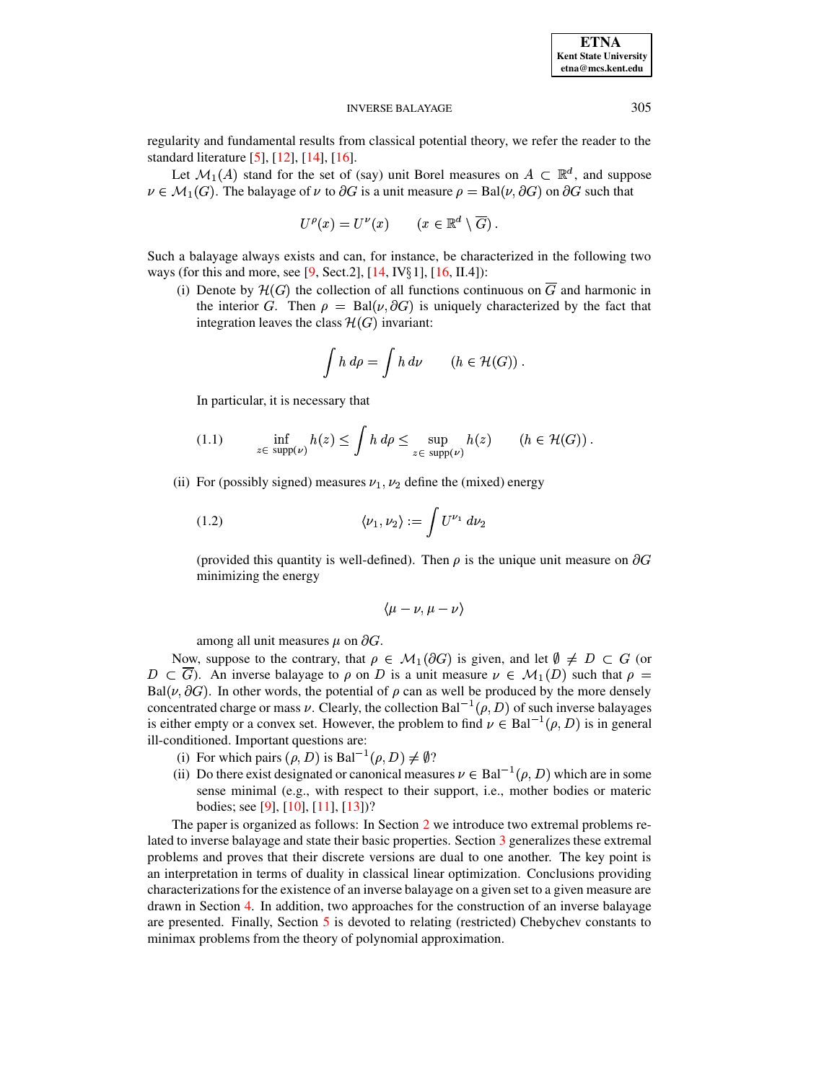#### **INVERSE BALAYAGE**

regularity and fundamental results from classical potential theory, we refer the reader to the standard literature  $[5]$ ,  $[12]$ ,  $[14]$ ,  $[16]$ .

Let  $\mathcal{M}_1(A)$  stand for the set of (say) unit Borel measures on  $A \subset \mathbb{R}^d$ , and suppose  $\nu \in \mathcal{M}_1(G)$ . The balayage of  $\nu$  to  $\partial G$  is a unit measure  $\rho = \text{Bal}(\nu, \partial G)$  on  $\partial G$  such that

$$
U^{\rho}(x) = U^{\nu}(x) \qquad (x \in \mathbb{R}^d \setminus \overline{G}) \ .
$$

Such a balayage always exists and can, for instance, be characterized in the following two ways (for this and more, see [9, Sect.2], [14, IV $\S 1$ ], [16, II.4]):

(i) Denote by  $\mathcal{H}(G)$  the collection of all functions continuous on  $\overline{G}$  and harmonic in the interior G. Then  $\rho = \text{Bal}(\nu, \partial G)$  is uniquely characterized by the fact that integration leaves the class  $\mathcal{H}(G)$  invariant:

$$
\int h \, d\rho = \int h \, d\nu \qquad (h \in \mathcal{H}(G)) \, .
$$

In particular, it is necessary that

<span id="page-1-0"></span>
$$
(1.1) \qquad \inf_{z \in \text{ supp}(\nu)} h(z) \le \int h \, d\rho \le \sup_{z \in \text{ supp}(\nu)} h(z) \qquad (h \in \mathcal{H}(G)) .
$$

(ii) For (possibly signed) measures  $\nu_1$ ,  $\nu_2$  define the (mixed) energy

<span id="page-1-1"></span>
$$
(1.2) \qquad \qquad \langle \nu_1, \nu_2 \rangle := \int U^{\nu_1} d\nu_2
$$

(provided this quantity is well-defined). Then  $\rho$  is the unique unit measure on  $\partial G$ minimizing the energy

$$
\langle \mu - \nu, \mu - \nu \rangle
$$

among all unit measures  $\mu$  on  $\partial G$ .

Now, suppose to the contrary, that  $\rho \in \mathcal{M}_1(\partial G)$  is given, and let  $\emptyset \neq D \subset G$  (or  $D \subset \overline{G}$ ). An inverse balayage to  $\rho$  on D is a unit measure  $\nu \in M_1(D)$  such that  $\rho =$ Bal( $\nu$ ,  $\partial G$ ). In other words, the potential of  $\rho$  can as well be produced by the more densely concentrated charge or mass v. Clearly, the collection Bal<sup>-1</sup>( $\rho$ , D) of such inverse balayages is either empty or a convex set. However, the problem to find  $\nu \in \text{Bal}^{-1}(\rho, D)$  is in general ill-conditioned. Important questions are:

- (i) For which pairs  $(\rho, D)$  is Bal<sup>-1</sup> $(\rho, D) \neq \emptyset$ ?
- (ii) Do there exist designated or canonical measures  $\nu \in \text{Bal}^{-1}(\rho, D)$  which are in some sense minimal (e.g., with respect to their support, i.e., mother bodies or materic bodies; see [9], [10], [11], [13])?

The paper is organized as follows: In Section 2 we introduce two extremal problems related to inverse balayage and state their basic properties. Section 3 generalizes these extremal problems and proves that their discrete versions are dual to one another. The key point is an interpretation in terms of duality in classical linear optimization. Conclusions providing characterizations for the existence of an inverse balayage on a given set to a given measure are drawn in Section 4. In addition, two approaches for the construction of an inverse balayage are presented. Finally, Section 5 is devoted to relating (restricted) Chebychev constants to minimax problems from the theory of polynomial approximation.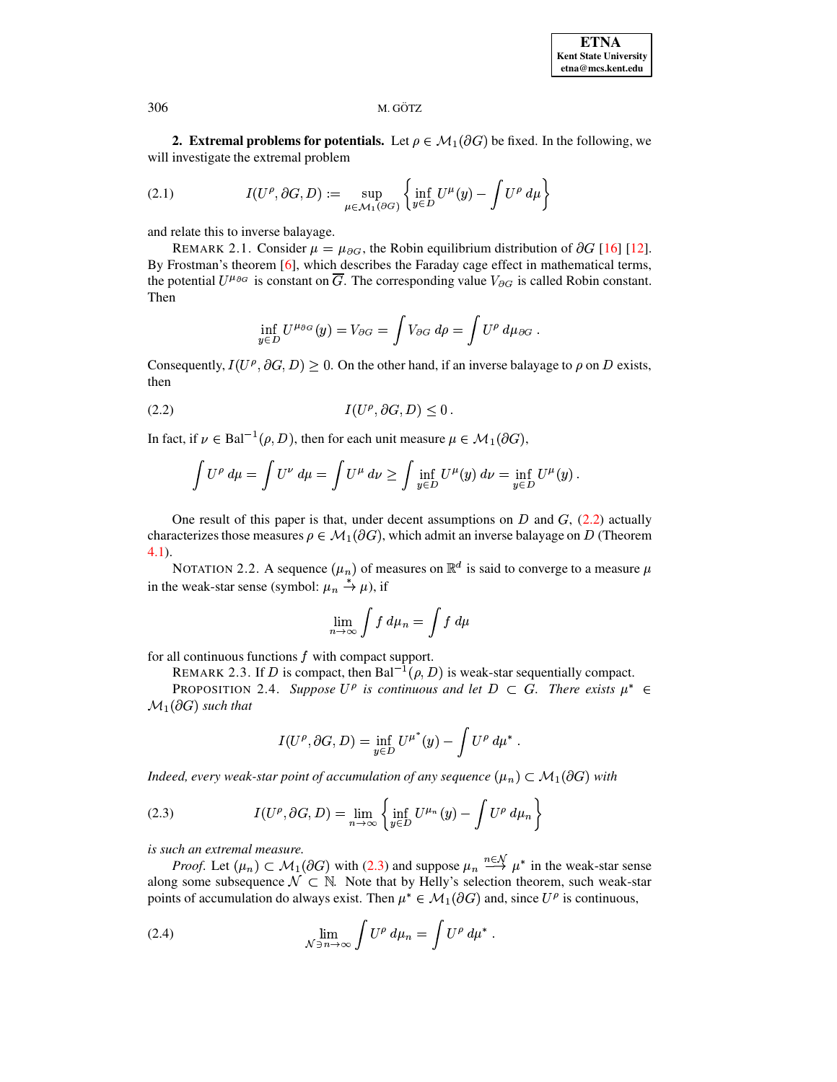<span id="page-2-0"></span>**2. Extremal problems for potentials.** Let  $\rho \in M_1(\partial G)$  be fixed. In the following, we will investigate the extremal problem

<span id="page-2-4"></span>(2.1) 
$$
I(U^{\rho}, \partial G, D) := \sup_{\mu \in \mathcal{M}_1(\partial G)} \left\{ \inf_{y \in D} U^{\mu}(y) - \int U^{\rho} d\mu \right\}
$$

and relate this to inverse balayage.

REMARK 2.1. Consider  $\mu = \mu_{\partial G}$ , the Robin equilibrium distribution of  $\partial G$  [16] [12]. By Frostman's theorem [6], which describes the Faraday cage effect in mathematical terms, the potential  $U^{\mu_{\partial G}}$  is constant on  $\overline{G}$ . The corresponding value  $V_{\partial G}$  is called Robin constant. Then

$$
\inf_{y\in D} U^{\mu_{\partial G}}(y) = V_{\partial G} = \int V_{\partial G} d\rho = \int U^{\rho} d\mu_{\partial G}.
$$

Consequently,  $I(U^{\rho}, \partial G, D) \ge 0$ . On the other hand, if an inverse balayage to  $\rho$  on D exists, then

$$
(2.2) \tI(U^{\rho}, \partial G, D) \le 0
$$

In fact, if  $\nu \in \text{Bal}^{-1}(\rho, D)$ , then for each unit measure  $\mu \in \mathcal{M}_1(\partial G)$ ,

<span id="page-2-1"></span>
$$
\int U^{\rho} d\mu = \int U^{\nu} d\mu = \int U^{\mu} d\nu \ge \int \inf_{y \in D} U^{\mu}(y) d\nu = \inf_{y \in D} U^{\mu}(y).
$$

One result of this paper is that, under decent assumptions on  $D$  and  $G$ , (2.2) actually characterizes those measures  $\rho \in \mathcal{M}_1(\partial G)$ , which admit an inverse balayage on D (Theorem  $4.1$ ).

NOTATION 2.2. A sequence  $(\mu_n)$  of measures on  $\mathbb{R}^d$  is said to converge to a measure  $\mu$ in the weak-star sense (symbol:  $\mu_n \stackrel{*}{\rightarrow} \mu$ ), if

$$
\lim_{n \to \infty} \int f \, d\mu_n = \int f \, d\mu
$$

<span id="page-2-5"></span>for all continuous functions  $f$  with compact support.

REMARK 2.3. If D is compact, then Bal<sup>-1</sup>( $\rho$ , D) is weak-star sequentially compact.

PROPOSITION 2.4. Suppose  $U^{\rho}$  is continuous and let  $D \subset G$ . There exists  $\mu^* \in$  $\mathcal{M}_1(\partial G)$  such that

$$
I(U^{\rho}, \partial G, D) = \inf_{y \in D} U^{\mu^*}(y) - \int U^{\rho} d\mu^*
$$

Indeed, every weak-star point of accumulation of any sequence  $(\mu_n) \subset \mathcal{M}_1(\partial G)$  with

<span id="page-2-2"></span>(2.3) 
$$
I(U^{\rho}, \partial G, D) = \lim_{n \to \infty} \left\{ \inf_{y \in D} U^{\mu_n}(y) - \int U^{\rho} d\mu_n \right\}
$$

is such an extremal measure.

*Proof.* Let  $(\mu_n) \subset \mathcal{M}_1(\partial G)$  with (2.3) and suppose  $\mu_n \stackrel{n \in \mathcal{N}}{\longrightarrow} \mu^*$  in the weak-star sense along some subsequence  $\mathcal{N} \subset \mathbb{N}$ . Note that by Helly's selection theorem, such weak-star points of accumulation do always exist. Then  $\mu^* \in \mathcal{M}_1(\partial G)$  and, since  $U^{\rho}$  is continuous,

<span id="page-2-3"></span>(2.4) 
$$
\lim_{\mathcal{N}\ni n\to\infty}\int U^{\rho} d\mu_n=\int U^{\rho} d\mu^*.
$$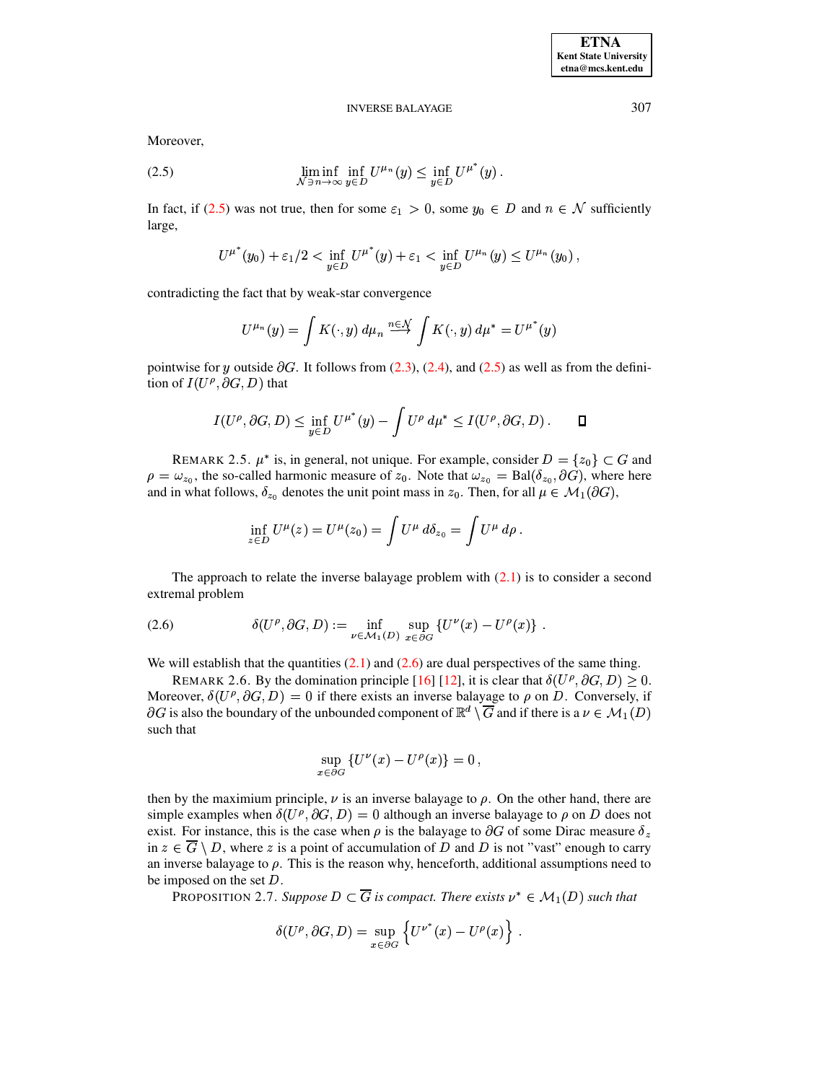### **INVERSE BALAYAGE**

Moreover,

<span id="page-3-0"></span>(2.5) 
$$
\liminf_{\mathcal{N}\ni n\to\infty}\inf_{y\in D}U^{\mu_n}(y)\leq \inf_{y\in D}U^{\mu^*}(y).
$$

In fact, if (2.5) was not true, then for some  $\varepsilon_1 > 0$ , some  $y_0 \in D$  and  $n \in \mathcal{N}$  sufficiently large,

$$
U^{\mu^*}(y_0) + \varepsilon_1/2 < \inf_{y \in D} U^{\mu^*}(y) + \varepsilon_1 < \inf_{y \in D} U^{\mu_n}(y) \leq U^{\mu_n}(y_0),
$$

contradicting the fact that by weak-star convergence

$$
U^{\mu_n}(y) = \int K(\cdot, y) d\mu_n \stackrel{n \in \mathcal{N}}{\longrightarrow} \int K(\cdot, y) d\mu^* = U^{\mu^*}(y)
$$

pointwise for y outside  $\partial G$ . It follows from (2.3), (2.4), and (2.5) as well as from the definition of  $I(U^{\rho}, \partial G, D)$  that

$$
I(U^{\rho}, \partial G, D) \leq \inf_{y \in D} U^{\mu^*}(y) - \int U^{\rho} d\mu^* \leq I(U^{\rho}, \partial G, D) . \qquad \Box
$$

REMARK 2.5.  $\mu^*$  is, in general, not unique. For example, consider  $D = \{z_0\} \subset G$  and  $\rho = \omega_{z_0}$ , the so-called harmonic measure of  $z_0$ . Note that  $\omega_{z_0} = \text{Bal}(\delta_{z_0}, \partial G)$ , where here and in what follows,  $\delta_{z_0}$  denotes the unit point mass in  $z_0$ . Then, for all  $\mu \in \mathcal{M}_1(\partial G)$ ,

$$
\inf_{z\in D} U^{\mu}(z) = U^{\mu}(z_0) = \int U^{\mu} d\delta_{z_0} = \int U^{\mu} d\rho
$$

The approach to relate the inverse balayage problem with  $(2.1)$  is to consider a second extremal problem

<span id="page-3-1"></span>(2.6) 
$$
\delta(U^{\rho}, \partial G, D) := \inf_{\nu \in \mathcal{M}_1(D)} \sup_{x \in \partial G} \{ U^{\nu}(x) - U^{\rho}(x) \} .
$$

We will establish that the quantities  $(2.1)$  and  $(2.6)$  are dual perspectives of the same thing.

REMARK 2.6. By the domination principle [16] [12], it is clear that  $\delta(U^{\rho}, \partial G, D) \geq 0$ . Moreover,  $\delta(U^{\rho}, \partial G, D) = 0$  if there exists an inverse balayage to  $\rho$  on D. Conversely, if  $\partial G$  is also the boundary of the unbounded component of  $\mathbb{R}^d \setminus \overline{G}$  and if there is a  $\nu \in \mathcal{M}_1(D)$ such that

$$
\sup_{x \in \partial G} \{ U^{\nu}(x) - U^{\rho}(x) \} = 0 ,
$$

then by the maximium principle,  $\nu$  is an inverse balayage to  $\rho$ . On the other hand, there are simple examples when  $\delta(U^{\rho}, \partial G, D) = 0$  although an inverse balayage to  $\rho$  on D does not exist. For instance, this is the case when  $\rho$  is the balayage to  $\partial G$  of some Dirac measure  $\delta_z$ in  $z \in \overline{G} \setminus D$ , where z is a point of accumulation of D and D is not "vast" enough to carry an inverse balayage to  $\rho$ . This is the reason why, henceforth, additional assumptions need to be imposed on the set  $D$ .

<span id="page-3-2"></span>PROPOSITION 2.7. Suppose  $D \subset \overline{G}$  is compact. There exists  $\nu^* \in \mathcal{M}_1(D)$  such that

$$
\delta(U^{\rho}, \partial G, D) = \sup_{x \in \partial G} \left\{ U^{\nu^*}(x) - U^{\rho}(x) \right\}.
$$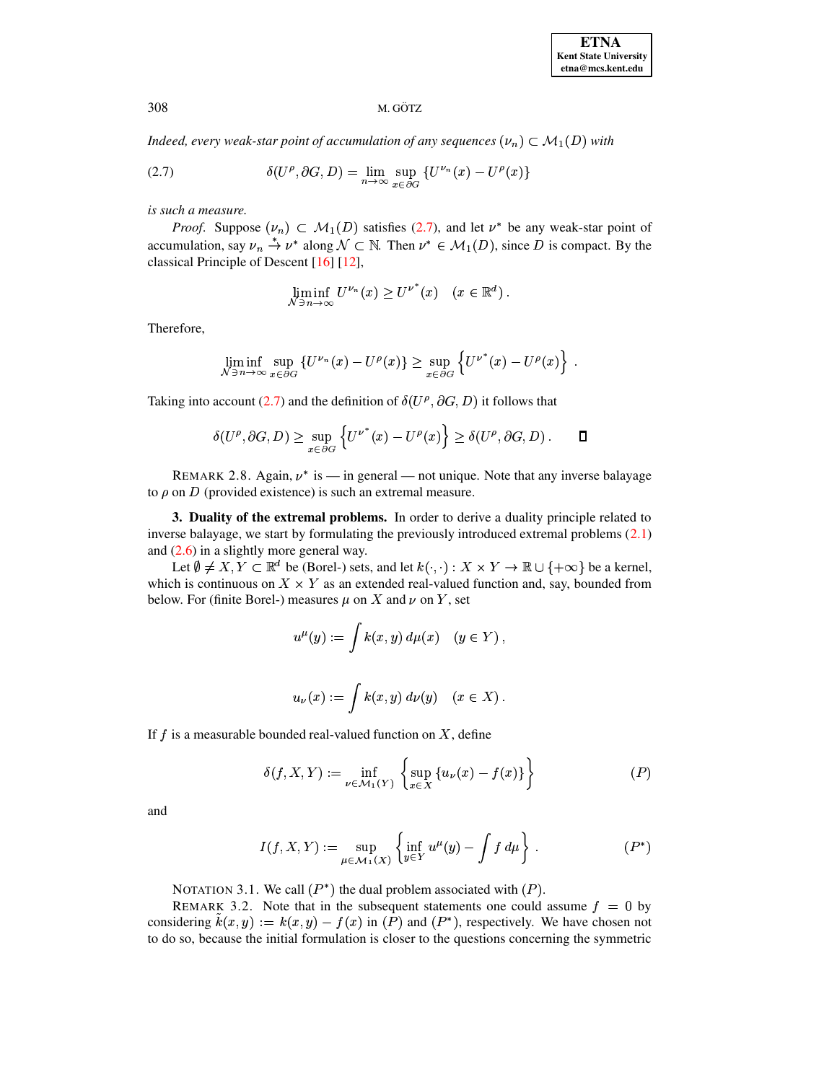Indeed, every weak-star point of accumulation of any sequences  $(\nu_n) \subset \mathcal{M}_1(D)$  with

<span id="page-4-1"></span>(2.7) 
$$
\delta(U^{\rho}, \partial G, D) = \lim_{n \to \infty} \sup_{x \in \partial G} \{ U^{\nu_n}(x) - U^{\rho}(x) \}
$$

is such a measure.

*Proof.* Suppose  $(\nu_n) \subset M_1(D)$  satisfies (2.7), and let  $\nu^*$  be any weak-star point of accumulation, say  $\nu_n \stackrel{*}{\rightarrow} \nu^*$  along  $\mathcal{N} \subset \mathbb{N}$ . Then  $\nu^* \in \mathcal{M}_1(D)$ , since D is compact. By the classical Principle of Descent [16] [12],

$$
\liminf_{\mathcal{N}\ni n\to\infty} U^{\nu_n}(x) \geq U^{\nu^*}(x) \quad (x\in\mathbb{R}^d).
$$

Therefore,

$$
\liminf_{N \ni n \to \infty} \sup_{x \in \partial G} \{ U^{\nu_n}(x) - U^{\rho}(x) \} \ge \sup_{x \in \partial G} \left\{ U^{\nu^*}(x) - U^{\rho}(x) \right\}
$$

Taking into account (2.7) and the definition of  $\delta(U^{\rho}, \partial G, D)$  it follows that

$$
\delta(U^{\rho}, \partial G, D) \geq \sup_{x \in \partial G} \left\{ U^{\nu^*}(x) - U^{\rho}(x) \right\} \geq \delta(U^{\rho}, \partial G, D) . \quad \Box
$$

REMARK 2.8. Again,  $\nu^*$  is — in general — not unique. Note that any inverse balayage to  $\rho$  on D (provided existence) is such an extremal measure.

<span id="page-4-0"></span>3. Duality of the extremal problems. In order to derive a duality principle related to inverse balayage, we start by formulating the previously introduced extremal problems (2.1) and  $(2.6)$  in a slightly more general way.

Let  $\emptyset \neq X, Y \subset \mathbb{R}^d$  be (Borel-) sets, and let  $k(\cdot, \cdot) : X \times Y \to \mathbb{R} \cup \{+\infty\}$  be a kernel, which is continuous on  $X \times Y$  as an extended real-valued function and, say, bounded from below. For (finite Borel-) measures  $\mu$  on X and  $\nu$  on Y, set

$$
u^{\mu}(y) := \int k(x, y) d\mu(x) \quad (y \in Y),
$$
  

$$
u_{\nu}(x) := \int k(x, y) d\nu(y) \quad (x \in X).
$$

If  $f$  is a measurable bounded real-valued function on  $X$ , define

$$
\delta(f, X, Y) := \inf_{\nu \in \mathcal{M}_1(Y)} \left\{ \sup_{x \in X} \left\{ u_{\nu}(x) - f(x) \right\} \right\} \tag{P}
$$

and

$$
I(f, X, Y) := \sup_{\mu \in \mathcal{M}_1(X)} \left\{ \inf_{y \in Y} u^{\mu}(y) - \int f d\mu \right\} .
$$
 (P\*)

NOTATION 3.1. We call  $(P^*)$  the dual problem associated with  $(P)$ .

REMARK 3.2. Note that in the subsequent statements one could assume  $f = 0$  by considering  $\hat{k}(x, y) := k(x, y) - f(x)$  in (P) and (P<sup>\*</sup>), respectively. We have chosen not to do so, because the initial formulation is closer to the questions concerning the symmetric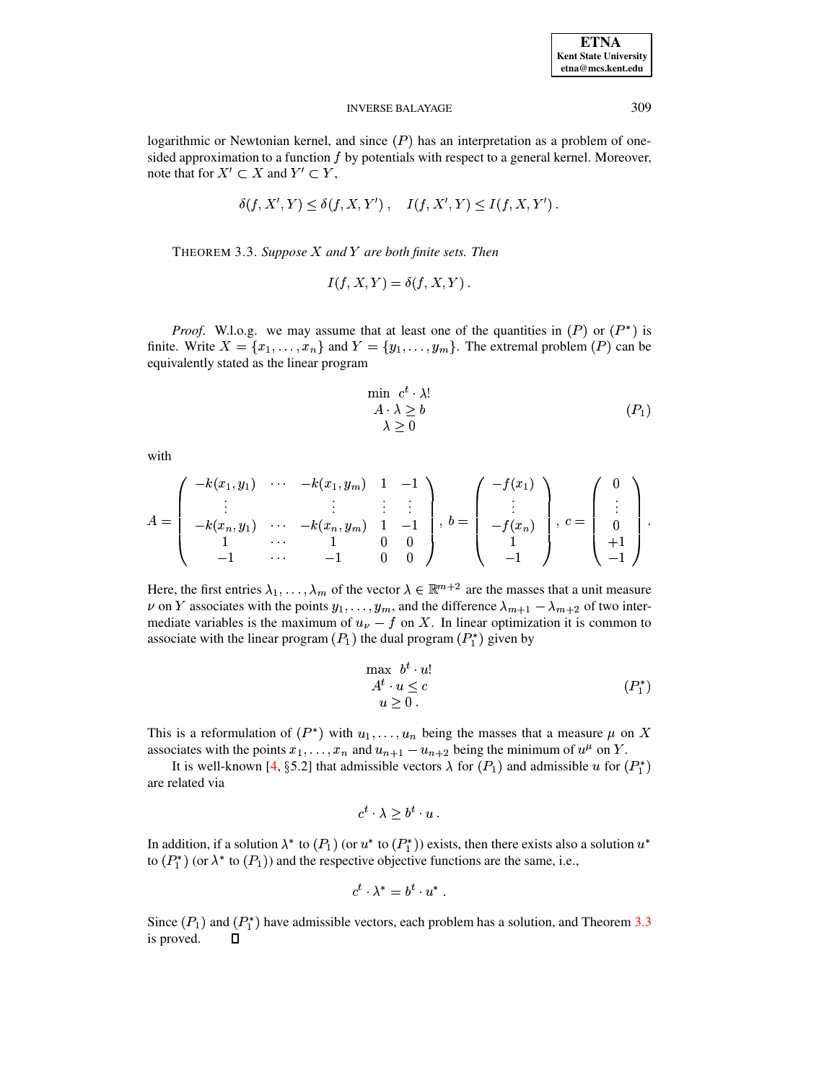### **INVERSE BALAYAGE**

logarithmic or Newtonian kernel, and since  $(P)$  has an interpretation as a problem of onesided approximation to a function  $f$  by potentials with respect to a general kernel. Moreover, note that for  $X' \subset X$  and  $Y' \subset Y$ ,

$$
\delta(f, X', Y) \le \delta(f, X, Y') , \quad I(f, X', Y) \le I(f, X, Y')
$$

<span id="page-5-0"></span>THEOREM 3.3. Suppose  $X$  and  $Y$  are both finite sets. Then

$$
I(f, X, Y) = \delta(f, X, Y) .
$$

*Proof.* W.l.o.g. we may assume that at least one of the quantities in  $(P)$  or  $(P^*)$  is finite. Write  $X = \{x_1, \ldots, x_n\}$  and  $Y = \{y_1, \ldots, y_m\}$ . The extremal problem  $(P)$  can be equivalently stated as the linear program

$$
\min \limits_{\lambda \; \geq \; b} \; c^t \cdot \lambda! \\
 \lambda \geq b \\
 \lambda \geq 0
$$
\n
$$
(P_1)
$$

with

$$
A = \begin{pmatrix} -k(x_1, y_1) & \cdots & -k(x_1, y_m) & 1 & -1 \\ \vdots & & \vdots & \vdots & \vdots \\ -k(x_n, y_1) & \cdots & -k(x_n, y_m) & 1 & -1 \\ 1 & \cdots & 1 & 0 & 0 \\ -1 & \cdots & -1 & 0 & 0 \end{pmatrix}, b = \begin{pmatrix} -f(x_1) \\ \vdots \\ -f(x_n) \\ 1 \\ -1 \end{pmatrix}, c = \begin{pmatrix} 0 \\ \vdots \\ 0 \\ +1 \\ -1 \end{pmatrix}.
$$

Here, the first entries  $\lambda_1, \ldots, \lambda_m$  of the vector  $\lambda \in \mathbb{R}^{m+2}$  are the masses that a unit measure  $\nu$  on Y associates with the points  $y_1, \ldots, y_m$ , and the difference  $\lambda_{m+1} - \lambda_{m+2}$  of two intermediate variables is the maximum of  $u_{\nu} - f$  on X. In linear optimization it is common to associate with the linear program  $(P_1)$  the dual program  $(P_1^*)$  given by

$$
\begin{array}{ll}\n\max \ b^t \cdot u! \\
A^t \cdot u \le c \\
u \ge 0.\n\end{array} \tag{P_1^*}
$$

This is a reformulation of  $(P^*)$  with  $u_1, \ldots, u_n$  being the masses that a measure  $\mu$  on X associates with the points  $x_1, \ldots, x_n$  and  $u_{n+1} - u_{n+2}$  being the minimum of  $u^{\mu}$  on Y.

It is well-known [4, §5.2] that admissible vectors  $\lambda$  for  $(P_1)$  and admissible u for  $(P_1^*)$ are related via

$$
c^t\cdot\lambda>b^t\cdot u\ .
$$

In addition, if a solution  $\lambda^*$  to  $(P_1)$  (or  $u^*$  to  $(P_1^*)$ ) exists, then there exists also a solution  $u^*$ to  $(P_1^*)$  (or  $\lambda^*$  to  $(P_1)$ ) and the respective objective functions are the same, i.e.,

$$
c^t \cdot \lambda^* = b^t \cdot u^*
$$

Since  $(P_1)$  and  $(P_1^*)$  have admissible vectors, each problem has a solution, and Theorem 3.3 is proved.  $\Box$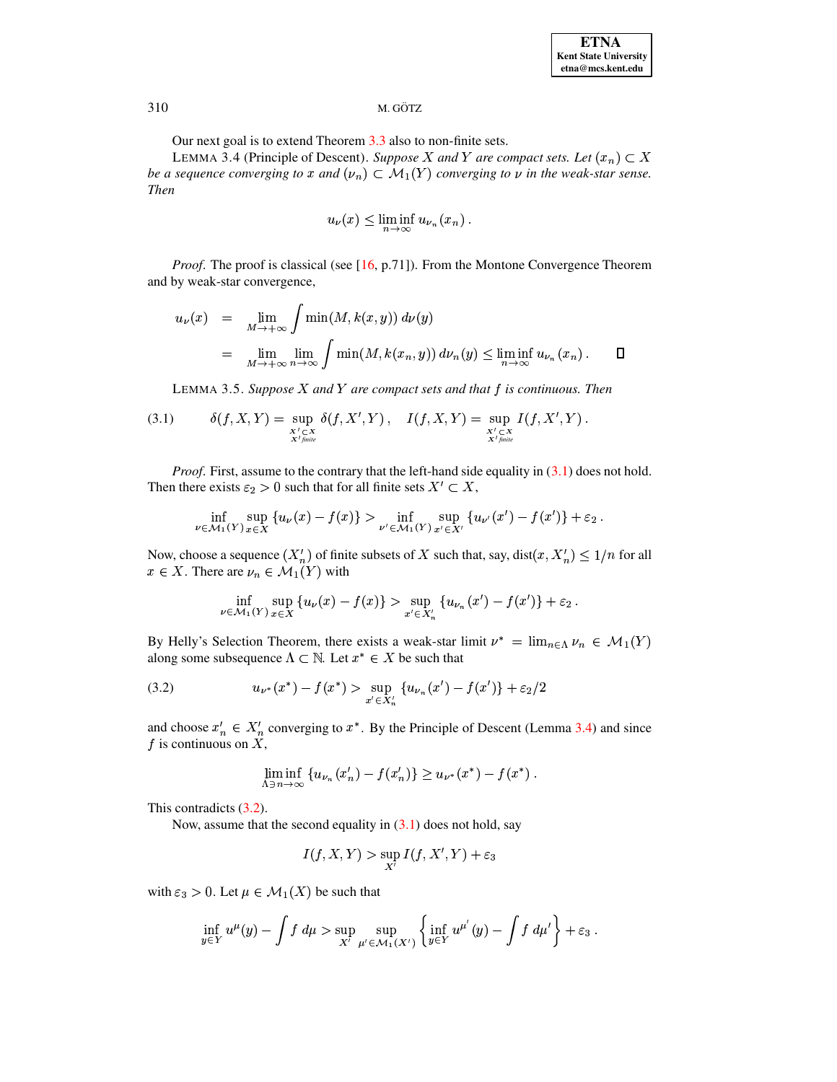Our next goal is to extend Theorem 3.3 also to non-finite sets.

<span id="page-6-1"></span>LEMMA 3.4 (Principle of Descent). Suppose X and Y are compact sets. Let  $(x_n) \subset X$ be a sequence converging to x and  $(\nu_n) \subset \mathcal{M}_1(Y)$  converging to v in the weak-star sense. **Then** 

$$
u_{\nu}(x) \le \liminf_{n \to \infty} u_{\nu_n}(x_n).
$$

*Proof.* The proof is classical (see  $[16, p.71]$ ). From the Montone Convergence Theorem and by weak-star convergence,

$$
u_{\nu}(x) = \lim_{M \to +\infty} \int \min(M, k(x, y)) d\nu(y)
$$
  
= 
$$
\lim_{M \to +\infty} \lim_{n \to \infty} \int \min(M, k(x_n, y)) d\nu_n(y) \le \liminf_{n \to \infty} u_{\nu_n}(x_n).
$$

LEMMA 3.5. Suppose  $X$  and  $Y$  are compact sets and that  $f$  is continuous. Then

<span id="page-6-3"></span><span id="page-6-0"></span>
$$
(3.1) \qquad \delta(f, X, Y) = \sup_{\substack{X' \subset X \\ X' \text{finite}}} \delta(f, X', Y) , \quad I(f, X, Y) = \sup_{\substack{X' \subset X \\ X' \text{finite}}} I(f, X', Y) .
$$

*Proof.* First, assume to the contrary that the left-hand side equality in  $(3.1)$  does not hold. Then there exists  $\varepsilon_2 > 0$  such that for all finite sets  $X' \subset X$ ,

$$
\inf_{\nu \in \mathcal{M}_1(Y)} \sup_{x \in X} \{ u_{\nu}(x) - f(x) \} > \inf_{\nu' \in \mathcal{M}_1(Y)} \sup_{x' \in X'} \{ u_{\nu'}(x') - f(x') \} + \varepsilon_2.
$$

Now, choose a sequence  $(X'_n)$  of finite subsets of X such that, say,  $dist(x, X'_n) \leq 1/n$  for all  $x \in X$ . There are  $\nu_n \in \mathcal{M}_1(Y)$  with

$$
\inf_{\nu \in \mathcal{M}_1(Y)} \sup_{x \in X} \left\{ u_{\nu}(x) - f(x) \right\} > \sup_{x' \in X'_n} \left\{ u_{\nu_n}(x') - f(x') \right\} + \varepsilon_2
$$

By Helly's Selection Theorem, there exists a weak-star limit  $\nu^* = \lim_{n \in \Lambda} \nu_n \in \mathcal{M}_1(Y)$ along some subsequence  $\Lambda \subset \mathbb{N}$ . Let  $x^* \in X$  be such that

<span id="page-6-2"></span>(3.2) 
$$
u_{\nu^*}(x^*) - f(x^*) > \sup_{x' \in X'_n} \{u_{\nu_n}(x') - f(x')\} + \varepsilon_2/2
$$

and choose  $x'_n \in X'_n$  converging to  $x^*$ . By the Principle of Descent (Lemma 3.4) and since f is continuous on  $X$ ,

$$
\liminf_{\Lambda \ni n \to \infty} \{ u_{\nu_n}(x'_n) - f(x'_n) \} \ge u_{\nu^*}(x^*) - f(x^*) \ .
$$

This contradicts  $(3.2)$ .

Now, assume that the second equality in  $(3.1)$  does not hold, say

$$
I(f, X, Y) > \sup_{X'} I(f, X', Y) + \varepsilon_3
$$

with  $\varepsilon_3 > 0$ . Let  $\mu \in \mathcal{M}_1(X)$  be such that

$$
\inf_{y\in Y} u^{\mu}(y) - \int f d\mu > \sup_{X'} \sup_{\mu' \in \mathcal{M}_1(X')} \left\{ \inf_{y\in Y} u^{\mu'}(y) - \int f d\mu' \right\} + \varepsilon_3
$$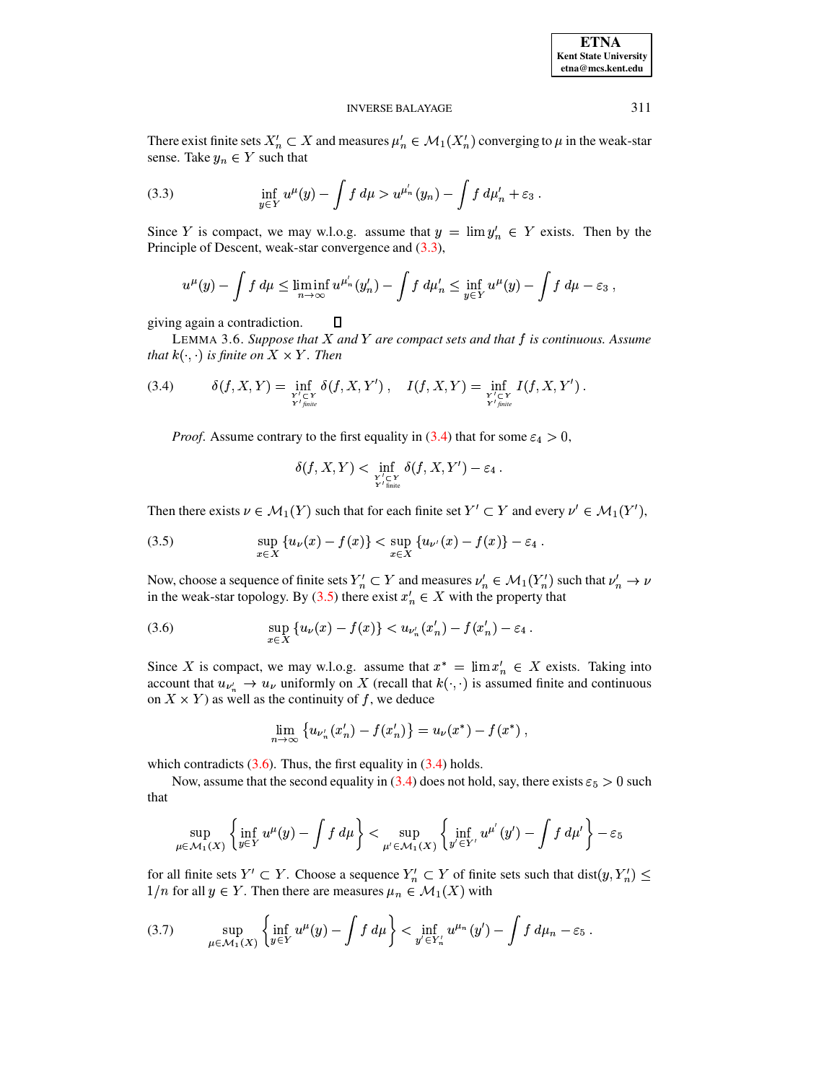#### **INVERSE BALAYAGE**

There exist finite sets  $X'_n \subset X$  and measures  $\mu'_n \in \mathcal{M}_1(X'_n)$  converging to  $\mu$  in the weak-star sense. Take  $y_n \in Y$  such that

<span id="page-7-0"></span>(3.3) 
$$
\inf_{y \in Y} u^{\mu}(y) - \int f \, d\mu > u^{\mu'_n}(y_n) - \int f \, d\mu'_n + \varepsilon_3
$$

Since Y is compact, we may w.l.o.g. assume that  $y = \lim y_n^{\prime} \in Y$  exists. Then by the Principle of Descent, weak-star convergence and  $(3.3)$ ,

$$
u^{\mu}(y) - \int f d\mu \leq \liminf_{n \to \infty} u^{\mu'_n}(y'_n) - \int f d\mu'_n \leq \inf_{y \in Y} u^{\mu}(y) - \int f d\mu - \varepsilon_3,
$$

<span id="page-7-5"></span>giving again a contradiction.  $\Box$ 

LEMMA 3.6. Suppose that  $X$  and  $Y$  are compact sets and that  $f$  is continuous. Assume that  $k(\cdot, \cdot)$  is finite on  $X \times Y$ . Then

<span id="page-7-1"></span>
$$
(3.4) \qquad \delta(f,X,Y)=\inf_{Y'\subset Y\atop{Y'finite}}\delta(f,X,Y')\ ,\quad I(f,X,Y)=\inf_{Y'\subset Y\atop{Y'finite}}I(f,X,Y')\ .
$$

*Proof.* Assume contrary to the first equality in (3.4) that for some  $\varepsilon_4 > 0$ ,

$$
\delta(f, X, Y) < \inf_{Y' \subset Y \atop Y' \text{ finite}} \delta(f, X, Y') - \varepsilon_4.
$$

Then there exists  $\nu \in \mathcal{M}_1(Y)$  such that for each finite set  $Y' \subset Y$  and every  $\nu' \in \mathcal{M}_1(Y')$ ,

<span id="page-7-2"></span>(3.5) 
$$
\sup_{x \in X} \{u_{\nu}(x) - f(x)\} < \sup_{x \in X} \{u_{\nu}(x) - f(x)\} - \varepsilon_4.
$$

Now, choose a sequence of finite sets  $Y'_n \subset Y$  and measures  $\nu'_n \in \mathcal{M}_1(Y'_n)$  such that  $\nu'_n \to \nu$ in the weak-star topology. By (3.5) there exist  $x'_n \in X$  with the property that

<span id="page-7-3"></span>(3.6) 
$$
\sup_{x \in X} \{u_{\nu}(x) - f(x)\} < u_{\nu'_n}(x'_n) - f(x'_n) - \varepsilon_4.
$$

Since X is compact, we may w.l.o.g. assume that  $x^* = \lim x'_n \in X$  exists. Taking into account that  $u_{\nu'_n} \to u_{\nu}$  uniformly on X (recall that  $k(\cdot, \cdot)$  is assumed finite and continuous on  $X \times Y$  as well as the continuity of f, we deduce

$$
\lim_{n\to\infty}\left\{u_{\nu'_n}(x'_n)-f(x'_n)\right\}=u_{\nu}(x^*)-f(x^*)\,,
$$

which contradicts  $(3.6)$ . Thus, the first equality in  $(3.4)$  holds.

Now, assume that the second equality in (3.4) does not hold, say, there exists  $\varepsilon_5 > 0$  such that

$$
\sup_{u\in\mathcal{M}_1(X)}\left\{\inf_{y\in Y}u^{\mu}(y)-\int f\ d\mu\right\}<\sup_{\mu'\in\mathcal{M}_1(X)}\left\{\inf_{y'\in Y'}u^{\mu'}(y')-\int f\ d\mu'\right\}-\varepsilon_5
$$

for all finite sets  $Y' \subset Y$ . Choose a sequence  $Y'_n \subset Y$  of finite sets such that  $dist(y, Y'_n) \leq$  $1/n$  for all  $y \in Y$ . Then there are measures  $\mu_n \in \mathcal{M}_1(X)$  with

<span id="page-7-4"></span>(3.7) 
$$
\sup_{\mu \in \mathcal{M}_1(X)} \left\{ \inf_{y \in Y} u^{\mu}(y) - \int f d\mu \right\} < \inf_{y' \in Y'_n} u^{\mu_n}(y') - \int f d\mu_n - \varepsilon_5.
$$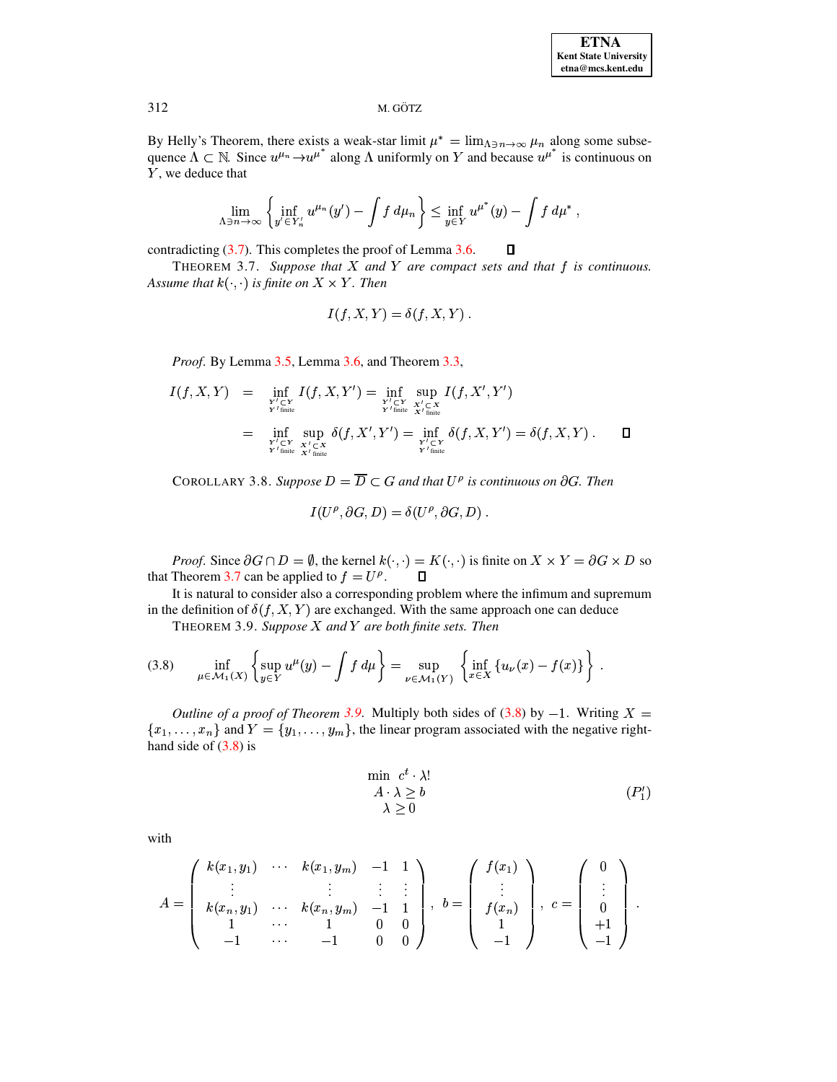By Helly's Theorem, there exists a weak-star limit  $\mu^* = \lim_{\Delta \ni n \to \infty} \mu_n$  along some subsequence  $\Lambda \subset \mathbb{N}$ . Since  $u^{\mu_n} \rightarrow u^{\mu^*}$  along  $\Lambda$  uniformly on Y and because  $u^{\mu^*}$  is continuous on Y, we deduce that

$$
\lim_{\Lambda \ni n \to \infty} \left\{ \inf_{y' \in Y'_n} u^{\mu_n}(y') - \int f d\mu_n \right\} \leq \inf_{y \in Y} u^{\mu^*}(y) - \int f d\mu^*,
$$

contradicting  $(3.7)$ . This completes the proof of Lemma 3.6.

<span id="page-8-0"></span>THEOREM 3.7. Suppose that  $X$  and  $Y$  are compact sets and that  $f$  is continuous. Assume that  $k(\cdot, \cdot)$  is finite on  $X \times Y$ . Then

$$
I(f, X, Y) = \delta(f, X, Y).
$$

*Proof.* By Lemma 3.5, Lemma 3.6, and Theorem 3.3,

$$
I(f, X, Y) = \inf_{\substack{Y' \subset Y \\ Y' \text{ finite}}} I(f, X, Y') = \inf_{\substack{Y' \subset Y \\ Y' \text{ finite}}} \sup_{X' \subset X \atop X' \text{ finite}}} I(f, X', Y')
$$
  
= 
$$
\inf_{\substack{Y' \subset Y \\ Y' \text{ finite}}} \sup_{X' \subset X} \delta(f, X', Y') = \inf_{\substack{Y' \subset Y \\ Y' \text{ finite}}} \delta(f, X, Y') = \delta(f, X, Y) . \qquad \Box
$$

COROLLARY 3.8. Suppose  $D = \overline{D} \subset G$  and that  $U^{\rho}$  is continuous on  $\partial G$ . Then

$$
I(U^{\rho}, \partial G, D) = \delta(U^{\rho}, \partial G, D)
$$

*Proof.* Since  $\partial G \cap D = \emptyset$ , the kernel  $k(\cdot, \cdot) = K(\cdot, \cdot)$  is finite on  $X \times Y = \partial G \times D$  so that Theorem 3.7 can be applied to  $f = U^{\rho}$ .  $\Box$ 

<span id="page-8-1"></span>It is natural to consider also a corresponding problem where the infimum and supremum in the definition of  $\delta(f, X, Y)$  are exchanged. With the same approach one can deduce

THEOREM 3.9. Suppose  $X$  and  $Y$  are both finite sets. Then

<span id="page-8-2"></span>
$$
(3.8) \quad \inf_{\mu \in \mathcal{M}_1(X)} \left\{ \sup_{y \in Y} u^{\mu}(y) - \int f \, d\mu \right\} = \sup_{\nu \in \mathcal{M}_1(Y)} \left\{ \inf_{x \in X} \left\{ u_{\nu}(x) - f(x) \right\} \right\} \, .
$$

Outline of a proof of Theorem 3.9. Multiply both sides of (3.8) by  $-1$ . Writing  $X =$  $\{x_1, \ldots, x_n\}$  and  $Y = \{y_1, \ldots, y_m\}$ , the linear program associated with the negative righthand side of  $(3.8)$  is

$$
\min \ c^t \cdot \lambda! \n\lambda \ge b \n\lambda \ge 0
$$
\n $(P'_1)$ 

 $\Box$ 

with

$$
A = \left(\begin{array}{cccc} k(x_1, y_1) & \cdots & k(x_1, y_m) & -1 & 1 \\ \vdots & & \vdots & & \vdots \\ k(x_n, y_1) & \cdots & k(x_n, y_m) & -1 & 1 \\ 1 & \cdots & 1 & 0 & 0 \\ -1 & \cdots & -1 & 0 & 0 \end{array}\right), b = \left(\begin{array}{c} f(x_1) \\ \vdots \\ f(x_n) \\ 1 \\ -1 \end{array}\right), c = \left(\begin{array}{c} 0 \\ \vdots \\ 0 \\ +1 \\ -1 \end{array}\right).
$$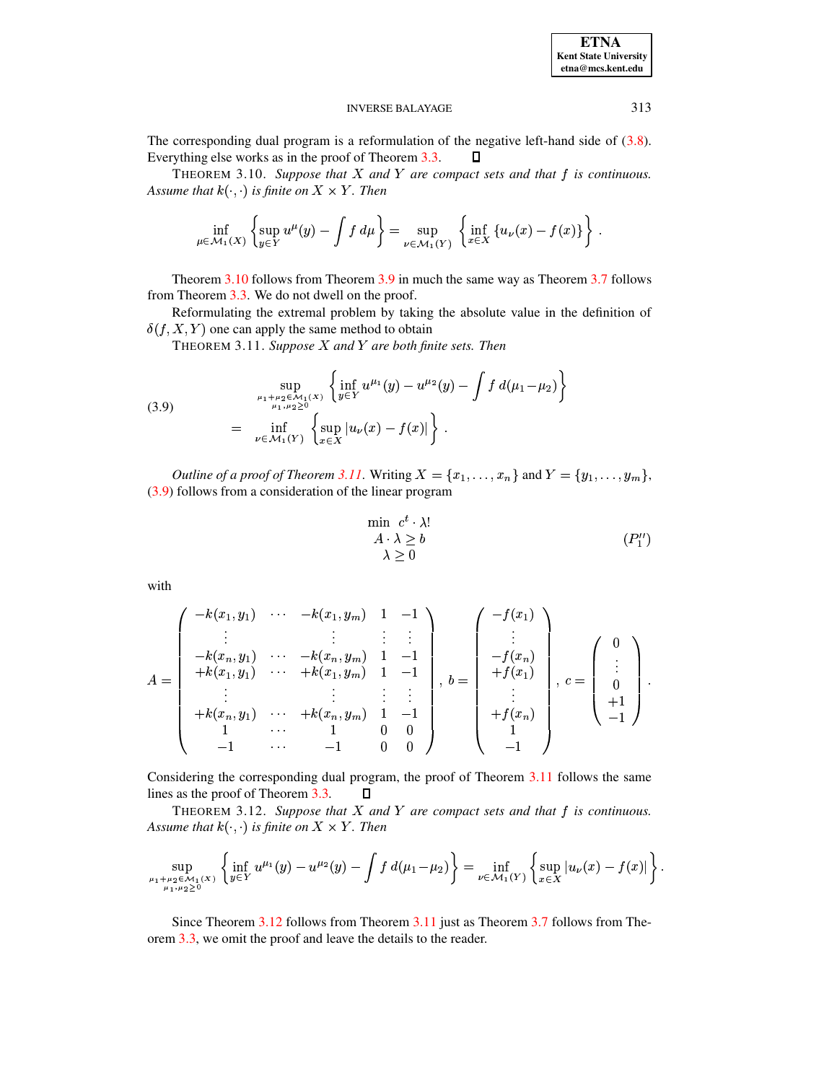313

#### **INVERSE BALAYAGE**

The corresponding dual program is a reformulation of the negative left-hand side of  $(3.8)$ . Everything else works as in the proof of Theorem 3.3.  $\Box$ 

<span id="page-9-0"></span>THEOREM 3.10. Suppose that  $X$  and  $Y$  are compact sets and that  $f$  is continuous. Assume that  $k(\cdot, \cdot)$  is finite on  $X \times Y$ . Then

$$
\inf_{\mu \in \mathcal{M}_1(X)} \left\{ \sup_{y \in Y} u^{\mu}(y) - \int f d\mu \right\} = \sup_{\nu \in \mathcal{M}_1(Y)} \left\{ \inf_{x \in X} \left\{ u_{\nu}(x) - f(x) \right\} \right\}.
$$

Theorem 3.10 follows from Theorem 3.9 in much the same way as Theorem 3.7 follows from Theorem 3.3. We do not dwell on the proof.

<span id="page-9-1"></span>Reformulating the extremal problem by taking the absolute value in the definition of  $\delta(f, X, Y)$  one can apply the same method to obtain

THEOREM 3.11. Suppose  $X$  and  $Y$  are both finite sets. Then

<span id="page-9-2"></span>(3.9) 
$$
\sup_{\mu_1 + \mu_2 \in \mathcal{M}_1(X) \atop \mu_1, \mu_2 \ge 0} \left\{ \inf_{y \in Y} u^{\mu_1}(y) - u^{\mu_2}(y) - \int f d(\mu_1 - \mu_2) \right\} = \inf_{\nu \in \mathcal{M}_1(Y)} \left\{ \sup_{x \in X} |u_{\nu}(x) - f(x)| \right\}.
$$

*Outline of a proof of Theorem 3.11.* Writing  $X = \{x_1, \ldots, x_n\}$  and  $Y = \{y_1, \ldots, y_m\}$ ,  $(3.9)$  follows from a consideration of the linear program

$$
\min_{\begin{array}{c} a \cdot \lambda \ge b \\ \lambda \ge 0 \end{array}} (P_1'')
$$

with

$$
A = \begin{pmatrix} -k(x_1, y_1) & \cdots & -k(x_1, y_m) & 1 & -1 \\ \vdots & \vdots & \vdots & \vdots & \vdots \\ -k(x_n, y_1) & \cdots & -k(x_n, y_m) & 1 & -1 \\ +k(x_1, y_1) & \cdots & +k(x_1, y_m) & 1 & -1 \\ \vdots & \vdots & \vdots & \vdots & \vdots \\ +k(x_n, y_1) & \cdots & +k(x_n, y_m) & 1 & -1 \\ 1 & \cdots & 1 & 0 & 0 \\ -1 & \cdots & -1 & 0 & 0 \end{pmatrix}, b = \begin{pmatrix} -f(x_1) \\ \vdots \\ -f(x_n) \\ +f(x_1) \\ \vdots \\ +f(x_n) \\ 1 \\ -1 \end{pmatrix}, c = \begin{pmatrix} 0 \\ \vdots \\ 0 \\ +1 \\ -1 \end{pmatrix}.
$$

Considering the corresponding dual program, the proof of Theorem 3.11 follows the same lines as the proof of Theorem 3.3.  $\Box$ 

<span id="page-9-3"></span>THEOREM 3.12. Suppose that  $X$  and  $Y$  are compact sets and that  $f$  is continuous. Assume that  $k(\cdot, \cdot)$  is finite on  $X \times Y$ . Then

$$
\sup_{\mu_1+\mu_2\in\mathcal{M}_1(X)\atop{\mu_1,\mu_2\geq 0}}\left\{\inf_{y\in Y}u^{\mu_1}(y)-u^{\mu_2}(y)-\int f\ d(\mu_1-\mu_2)\right\}=\inf_{\nu\in\mathcal{M}_1(Y)}\left\{\sup_{x\in X}|u_{\nu}(x)-f(x)|\right\}.
$$

Since Theorem 3.12 follows from Theorem 3.11 just as Theorem 3.7 follows from Theorem 3.3, we omit the proof and leave the details to the reader.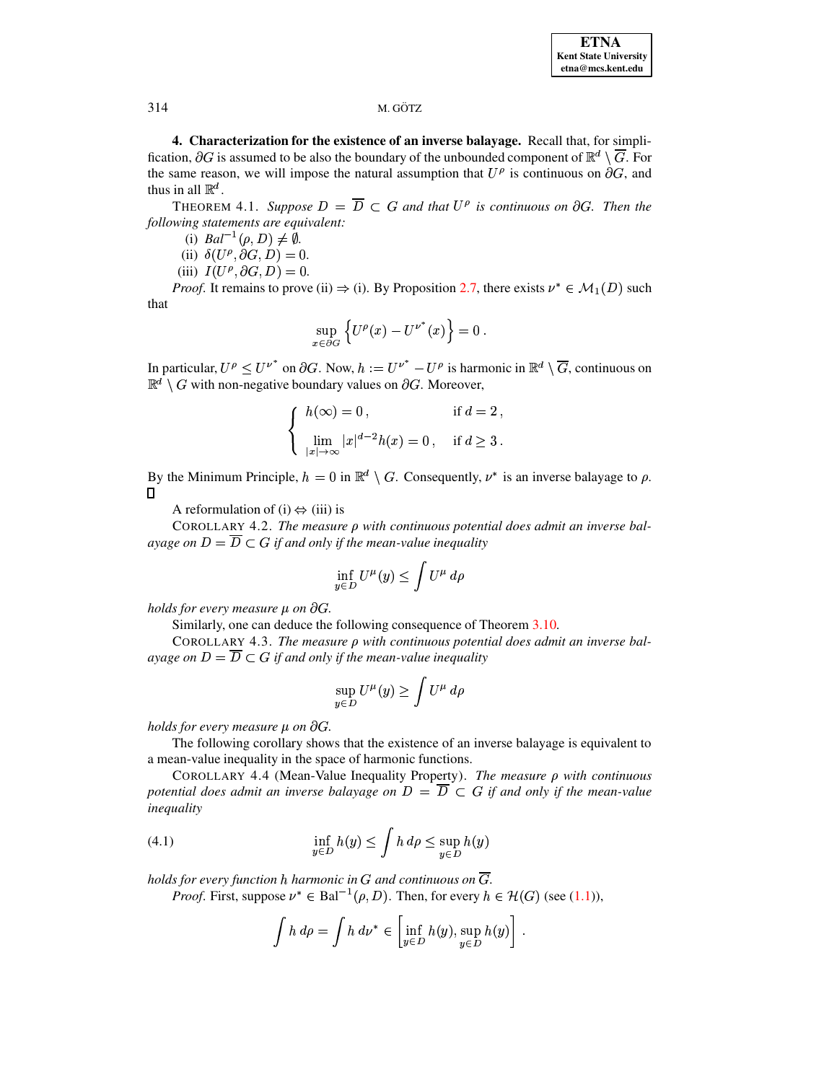<span id="page-10-0"></span>4. Characterization for the existence of an inverse balayage. Recall that, for simplification,  $\partial G$  is assumed to be also the boundary of the unbounded component of  $\mathbb{R}^d \setminus \overline{G}$ . For the same reason, we will impose the natural assumption that  $U^{\rho}$  is continuous on  $\partial G$ , and thus in all  $\mathbb{R}^d$ .

<span id="page-10-1"></span>THEOREM 4.1. Suppose  $D = \overline{D} \subset G$  and that  $U^{\rho}$  is continuous on  $\partial G$ . Then the following statements are equivalent:

(i)  $Bal^{-1}(\rho, D) \neq \emptyset$ .

(ii)  $\delta(U^{\rho}, \partial G, D) = 0.$ 

(iii)  $I(U^{\rho}, \partial G, D) = 0.$ 

*Proof.* It remains to prove (ii)  $\Rightarrow$  (i). By Proposition 2.7, there exists  $\nu^* \in \mathcal{M}_1(D)$  such that

$$
\sup_{x \in \partial G} \left\{ U^{\rho}(x) - U^{\nu^*}(x) \right\} = 0
$$

In particular,  $U^{\rho} \leq U^{\nu^*}$  on  $\partial G$ . Now,  $h := U^{\nu^*} - U^{\rho}$  is harmonic in  $\mathbb{R}^d \setminus \overline{G}$ , continuous on  $\mathbb{R}^d \setminus G$  with non-negative boundary values on  $\partial G$ . Moreover,

$$
\begin{cases}\nh(\infty) = 0, & \text{if } d = 2, \\
\lim_{|x| \to \infty} |x|^{d-2} h(x) = 0, & \text{if } d \ge 3.\n\end{cases}
$$

By the Minimum Principle,  $h = 0$  in  $\mathbb{R}^d \setminus G$ . Consequently,  $\nu^*$  is an inverse balayage to  $\rho$ . 0

A reformulation of (i)  $\Leftrightarrow$  (iii) is

<span id="page-10-3"></span>COROLLARY 4.2. The measure  $\rho$  with continuous potential does admit an inverse balayage on  $D = \overline{D} \subset G$  if and only if the mean-value inequality

$$
\inf_{y\in D} U^{\mu}(y) \le \int U^{\mu} d\rho
$$

holds for every measure  $\mu$  on  $\partial G$ .

Similarly, one can deduce the following consequence of Theorem 3.10.

COROLLARY 4.3. The measure  $\rho$  with continuous potential does admit an inverse balayage on  $D = \overline{D} \subset G$  if and only if the mean-value inequality

$$
\sup_{y \in D} U^{\mu}(y) \ge \int U^{\mu} d\rho
$$

holds for every measure  $\mu$  on  $\partial G$ .

The following corollary shows that the existence of an inverse balayage is equivalent to a mean-value inequality in the space of harmonic functions.

<span id="page-10-4"></span>COROLLARY 4.4 (Mean-Value Inequality Property). The measure  $\rho$  with continuous potential does admit an inverse balayage on  $D = \overline{D} \subset G$  if and only if the mean-value inequality

<span id="page-10-2"></span>(4.1) 
$$
\inf_{y \in D} h(y) \leq \int h \, d\rho \leq \sup_{y \in D} h(y)
$$

holds for every function h harmonic in G and continuous on  $\overline{G}$ .

*Proof.* First, suppose  $\nu^* \in \text{Bal}^{-1}(\rho, D)$ . Then, for every  $h \in \mathcal{H}(G)$  (see (1.1)),

$$
\int h \, d\rho = \int h \, d\nu^* \in \left[ \inf_{y \in D} h(y), \sup_{y \in D} h(y) \right] .
$$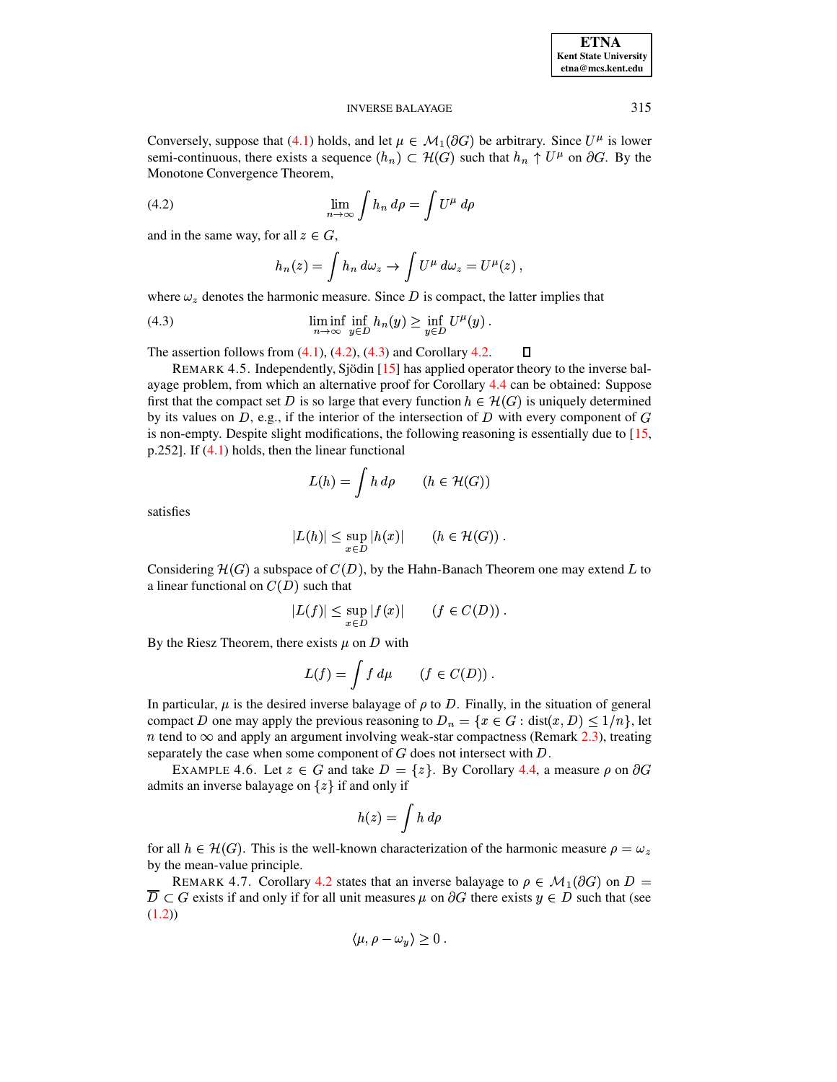### **INVERSE BALAYAGE**

Conversely, suppose that (4.1) holds, and let  $\mu \in M_1(\partial G)$  be arbitrary. Since  $U^{\mu}$  is lower semi-continuous, there exists a sequence  $(h_n) \subset \mathcal{H}(G)$  such that  $h_n \uparrow U^{\mu}$  on  $\partial G$ . By the Monotone Convergence Theorem,

(4.2) 
$$
\lim_{n \to \infty} \int h_n \, d\rho = \int U^{\mu} \, d\rho
$$

and in the same way, for all  $z \in G$ ,

<span id="page-11-0"></span>
$$
h_n(z) = \int h_n d\omega_z \to \int U^{\mu} d\omega_z = U^{\mu}(z) ,
$$

where  $\omega_z$  denotes the harmonic measure. Since D is compact, the latter implies that

<span id="page-11-1"></span>(4.3) 
$$
\liminf_{n \to \infty} \inf_{y \in D} h_n(y) \geq \inf_{y \in D} U^{\mu}(y).
$$

The assertion follows from  $(4.1)$ ,  $(4.2)$ ,  $(4.3)$  and Corollary 4.2. Л

REMARK 4.5. Independently, Sjödin [15] has applied operator theory to the inverse balayage problem, from which an alternative proof for Corollary 4.4 can be obtained: Suppose first that the compact set D is so large that every function  $h \in \mathcal{H}(G)$  is uniquely determined by its values on D, e.g., if the interior of the intersection of D with every component of G is non-empty. Despite slight modifications, the following reasoning is essentially due to [15, p.252]. If  $(4.1)$  holds, then the linear functional

$$
L(h) = \int h \, d\rho \qquad (h \in \mathcal{H}(G))
$$

satisfies

$$
|L(h)| \le \sup_{x \in D} |h(x)| \qquad (h \in \mathcal{H}(G))
$$

Considering  $\mathcal{H}(G)$  a subspace of  $C(D)$ , by the Hahn-Banach Theorem one may extend L to a linear functional on  $C(D)$  such that

$$
|L(f)| \le \sup_{x \in D} |f(x)| \qquad (f \in C(D)).
$$

By the Riesz Theorem, there exists  $\mu$  on D with

$$
L(f) = \int f \, d\mu \qquad (f \in C(D)) \, .
$$

In particular,  $\mu$  is the desired inverse balayage of  $\rho$  to D. Finally, in the situation of general compact D one may apply the previous reasoning to  $D_n = \{x \in G : dist(x, D) \leq 1/n\}$ , let n tend to  $\infty$  and apply an argument involving weak-star compactness (Remark 2.3), treating separately the case when some component of  $G$  does not intersect with  $D$ .

EXAMPLE 4.6. Let  $z \in G$  and take  $D = \{z\}$ . By Corollary 4.4, a measure  $\rho$  on  $\partial G$ admits an inverse balayage on  $\{z\}$  if and only if

$$
h(z) = \int h \, d\rho
$$

for all  $h \in \mathcal{H}(G)$ . This is the well-known characterization of the harmonic measure  $\rho = \omega_z$ by the mean-value principle.

REMARK 4.7. Corollary 4.2 states that an inverse balayage to  $\rho \in \mathcal{M}_1(\partial G)$  on  $D =$  $D \subset G$  exists if and only if for all unit measures  $\mu$  on  $\partial G$  there exists  $y \in D$  such that (see  $(1.2)$ 

$$
\langle \mu, \rho - \omega_y \rangle \ge 0
$$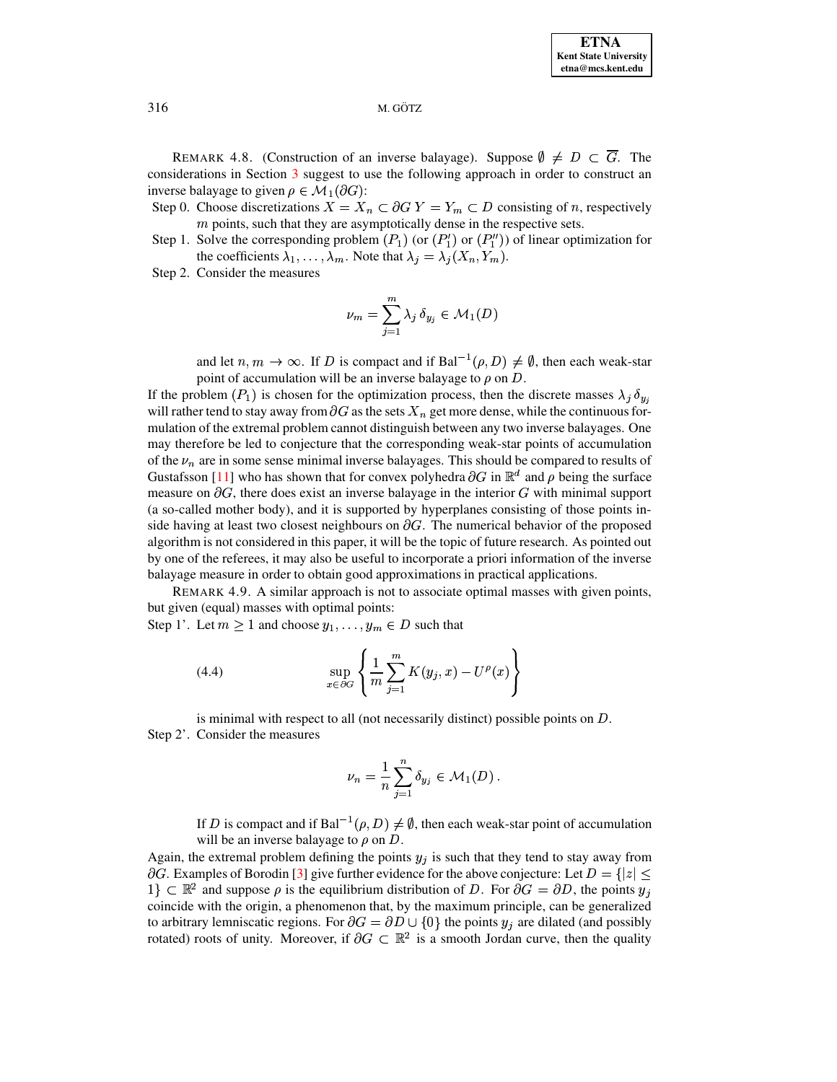REMARK 4.8. (Construction of an inverse balayage). Suppose  $\emptyset \neq D \subset \overline{G}$ . The considerations in Section 3 suggest to use the following approach in order to construct an inverse balayage to given  $\rho \in \mathcal{M}_1(\partial G)$ :

Step 0. Choose discretizations  $X = X_n \subset \partial G Y = Y_m \subset D$  consisting of n, respectively  $m$  points, such that they are asymptotically dense in the respective sets.

- Step 1. Solve the corresponding problem  $(P_1)$  (or  $(P'_1)$  or  $(P''_1)$ ) of linear optimization for the coefficients  $\lambda_1, \ldots, \lambda_m$ . Note that  $\lambda_j = \lambda_j(X_n, Y_m)$ .
- Step 2. Consider the measures

$$
\nu_m = \sum_{j=1}^m \lambda_j \,\delta_{y_j} \in \mathcal{M}_1(D)
$$

and let  $n, m \to \infty$ . If D is compact and if Bal<sup>-1</sup>( $\rho$ , D)  $\neq \emptyset$ , then each weak-star point of accumulation will be an inverse balayage to  $\rho$  on D.

If the problem  $(P_1)$  is chosen for the optimization process, then the discrete masses  $\lambda_j \, \delta_{y_i}$ will rather tend to stay away from  $\partial G$  as the sets  $X_n$  get more dense, while the continuous formulation of the extremal problem cannot distinguish between any two inverse balayages. One may therefore be led to conjecture that the corresponding weak-star points of accumulation of the  $\nu_n$  are in some sense minimal inverse balayages. This should be compared to results of Gustafsson [11] who has shown that for convex polyhedra  $\partial G$  in  $\mathbb{R}^d$  and  $\rho$  being the surface measure on  $\partial G$ , there does exist an inverse balayage in the interior G with minimal support (a so-called mother body), and it is supported by hyperplanes consisting of those points inside having at least two closest neighbours on  $\partial G$ . The numerical behavior of the proposed algorithm is not considered in this paper, it will be the topic of future research. As pointed out by one of the referees, it may also be useful to incorporate a priori information of the inverse balayage measure in order to obtain good approximations in practical applications.

REMARK 4.9. A similar approach is not to associate optimal masses with given points, but given (equal) masses with optimal points:

Step 1'. Let  $m \ge 1$  and choose  $y_1, \ldots, y_m \in D$  such that

<span id="page-12-0"></span>(4.4) 
$$
\sup_{x \in \partial G} \left\{ \frac{1}{m} \sum_{j=1}^{m} K(y_j, x) - U^{\rho}(x) \right\}
$$

is minimal with respect to all (not necessarily distinct) possible points on  $D$ . Step 2'. Consider the measures

$$
\nu_n = \frac{1}{n} \sum_{j=1}^n \delta_{y_j} \in \mathcal{M}_1(D) .
$$

If D is compact and if Bal<sup> $-1$ </sup> $(\rho, D) \neq \emptyset$ , then each weak-star point of accumulation will be an inverse balayage to  $\rho$  on D.

Again, the extremal problem defining the points  $y_i$  is such that they tend to stay away from  $\partial G$ . Examples of Borodin [3] give further evidence for the above conjecture: Let  $D = \{|z| \leq \theta\}$  $1\} \subset \mathbb{R}^2$  and suppose  $\rho$  is the equilibrium distribution of D. For  $\partial G = \partial D$ , the points  $y_j$ coincide with the origin, a phenomenon that, by the maximum principle, can be generalized to arbitrary lemniscatic regions. For  $\partial G = \partial D \cup \{0\}$  the points  $y_i$  are dilated (and possibly rotated) roots of unity. Moreover, if  $\partial G \subset \mathbb{R}^2$  is a smooth Jordan curve, then the quality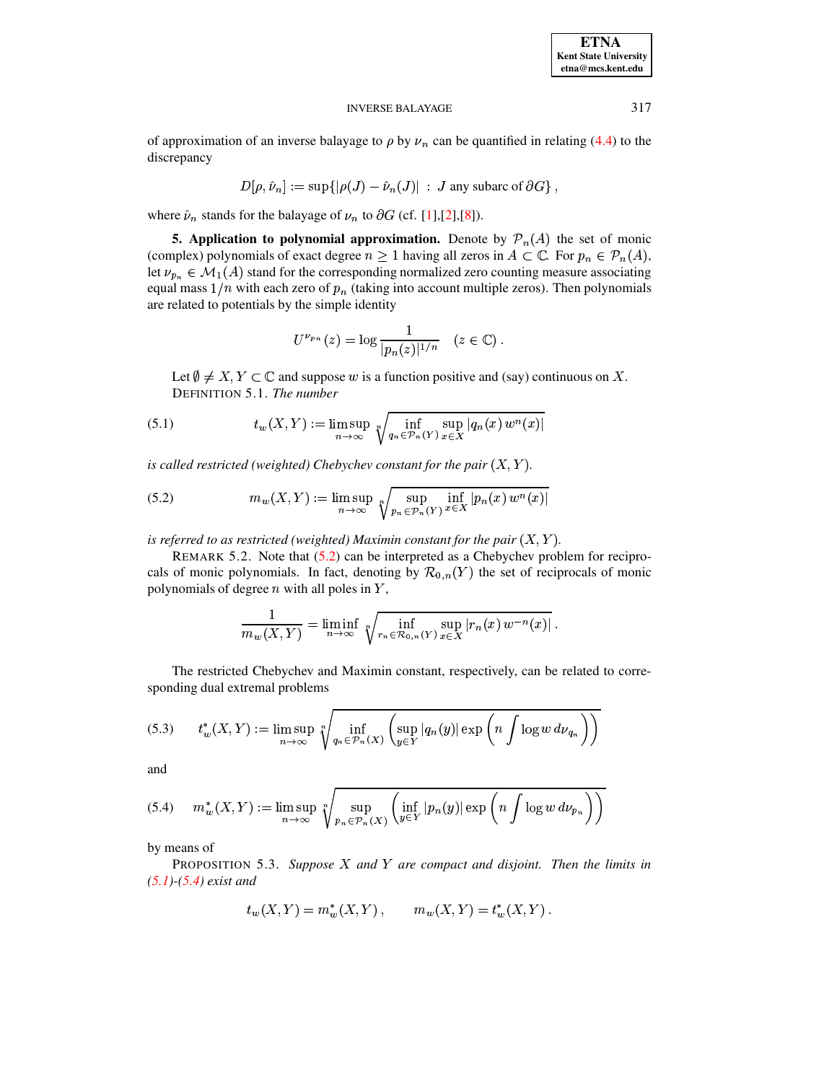#### **INVERSE BALAYAGE**

of approximation of an inverse balayage to  $\rho$  by  $\nu_n$  can be quantified in relating (4.4) to the discrepancy

$$
D[\rho, \hat{\nu}_n] := \sup\{|\rho(J) - \hat{\nu}_n(J)| \, : \, J \text{ any subarc of } \partial G\}
$$

<span id="page-13-0"></span>where  $\hat{\nu}_n$  stands for the balayage of  $\nu_n$  to  $\partial G$  (cf. [1],[2],[8]).

**5. Application to polynomial approximation.** Denote by  $\mathcal{P}_n(A)$  the set of monic (complex) polynomials of exact degree  $n \ge 1$  having all zeros in  $A \subset \mathbb{C}$ . For  $p_n \in \mathcal{P}_n(A)$ , let  $\nu_{p_n} \in \mathcal{M}_1(A)$  stand for the corresponding normalized zero counting measure associating equal mass  $1/n$  with each zero of  $p_n$  (taking into account multiple zeros). Then polynomials are related to potentials by the simple identity

$$
U^{\nu_{p_n}}(z) = \log \frac{1}{|p_n(z)|^{1/n}} \quad (z \in \mathbb{C}).
$$

Let  $\emptyset \neq X, Y \subset \mathbb{C}$  and suppose w is a function positive and (say) continuous on X. DEFINITION 5.1. The number

<span id="page-13-2"></span>(5.1) 
$$
t_w(X,Y) := \limsup_{n \to \infty} \sqrt[n]{\inf_{q_n \in \mathcal{P}_n(Y)} \sup_{x \in X} |q_n(x) w^n(x)|}
$$

is called restricted (weighted) Chebychev constant for the pair  $(X, Y)$ .

<span id="page-13-1"></span>(5.2) 
$$
m_w(X, Y) := \limsup_{n \to \infty} \sqrt[n]{\sup_{p_n \in \mathcal{P}_n(Y)} \inf_{x \in X} |p_n(x) w^n(x)|}
$$

is referred to as restricted (weighted) Maximin constant for the pair  $(X, Y)$ .

REMARK 5.2. Note that  $(5.2)$  can be interpreted as a Chebychev problem for reciprocals of monic polynomials. In fact, denoting by  $\mathcal{R}_{0,n}(Y)$  the set of reciprocals of monic polynomials of degree  $n$  with all poles in  $Y$ ,

$$
\frac{1}{m_w(X,Y)} = \liminf_{n \to \infty} \sqrt[n]{\inf_{r_n \in \mathcal{R}_{0,n}(Y)} \sup_{x \in X} |r_n(x) w^{-n}(x)|}.
$$

The restricted Chebychev and Maximin constant, respectively, can be related to corresponding dual extremal problems

$$
(5.3) \qquad t_w^*(X,Y) := \limsup_{n \to \infty} \sqrt[n]{\inf_{q_n \in \mathcal{P}_n(X)} \left( \sup_{y \in Y} |q_n(y)| \exp\left(n \int \log w \, d\nu_{q_n}\right) \right)}
$$

and

<span id="page-13-3"></span>
$$
(5.4) \t m_w^*(X,Y) := \limsup_{n \to \infty} \sqrt[n]{\sup_{p_n \in \mathcal{P}_n(X)} \left( \inf_{y \in Y} |p_n(y)| \exp\left(n \int \log w \, d\nu_{p_n}\right) \right)}
$$

<span id="page-13-4"></span>by means of

PROPOSITION 5.3. Suppose  $X$  and  $Y$  are compact and disjoint. Then the limits in  $(5.1)$ - $(5.4)$  exist and

$$
t_w(X,Y) = m_w^*(X,Y) , \qquad m_w(X,Y) = t_w^*(X,Y) .
$$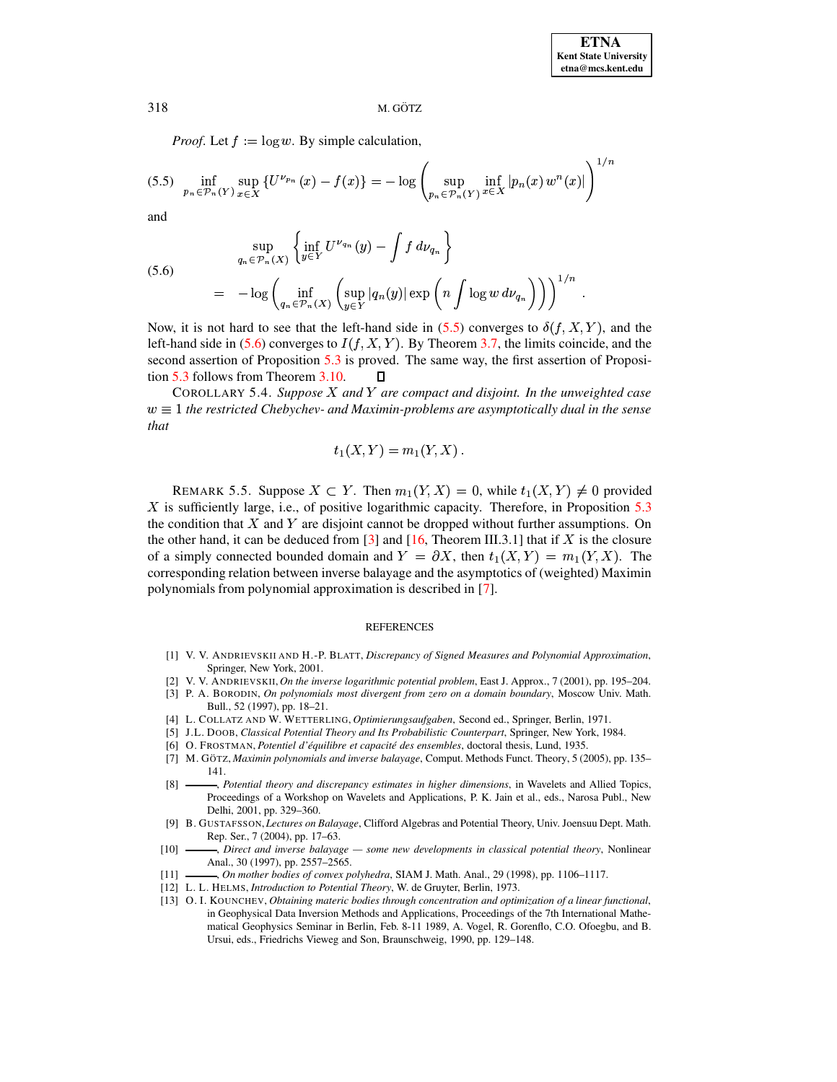*Proof.* Let  $f := \log w$ . By simple calculation,

<span id="page-14-12"></span>
$$
(5.5) \quad \inf_{p_n \in \mathcal{P}_n(Y)} \sup_{x \in X} \left\{ U^{\nu_{p_n}}(x) - f(x) \right\} = -\log \left( \sup_{p_n \in \mathcal{P}_n(Y)} \inf_{x \in X} |p_n(x) w^n(x)| \right)^{1/n}
$$

and

<span id="page-14-13"></span>(5.6)  
\n
$$
\sup_{q_n \in \mathcal{P}_n(X)} \left\{ \inf_{y \in Y} U^{\nu_{q_n}}(y) - \int f \, d\nu_{q_n} \right\}
$$
\n
$$
= -\log \left( \inf_{q_n \in \mathcal{P}_n(X)} \left( \sup_{y \in Y} |q_n(y)| \exp \left( n \int \log w \, d\nu_{q_n} \right) \right) \right)^{1/n}
$$

Now, it is not hard to see that the left-hand side in (5.5) converges to  $\delta(f, X, Y)$ , and the left-hand side in (5.6) converges to  $I(f, X, Y)$ . By Theorem 3.7, the limits coincide, and the second assertion of Proposition 5.3 is proved. The same way, the first assertion of Proposition 5.3 follows from Theorem 3.10. П

COROLLARY 5.4. Suppose  $X$  and  $Y$  are compact and disjoint. In the unweighted case  $w \equiv 1$  the restricted Chebychev- and Maximin-problems are asymptotically dual in the sense that

$$
t_1(X,Y)=m_1(Y,X).
$$

REMARK 5.5. Suppose  $X \subset Y$ . Then  $m_1(Y, X) = 0$ , while  $t_1(X, Y) \neq 0$  provided X is sufficiently large, i.e., of positive logarithmic capacity. Therefore, in Proposition 5.3 the condition that  $X$  and  $Y$  are disjoint cannot be dropped without further assumptions. On the other hand, it can be deduced from [3] and [16, Theorem III.3.1] that if X is the closure of a simply connected bounded domain and  $Y = \partial X$ , then  $t_1(X, Y) = m_1(Y, X)$ . The corresponding relation between inverse balayage and the asymptotics of (weighted) Maximin polynomials from polynomial approximation is described in [7].

#### **REFERENCES**

- <span id="page-14-9"></span>[1] V. V. ANDRIEVSKII AND H.-P. BLATT, Discrepancy of Signed Measures and Polynomial Approximation, Springer, New York, 2001.
- <span id="page-14-10"></span><span id="page-14-8"></span>[2] V. V. ANDRIEVSKII, On the inverse logarithmic potential problem, East J. Approx., 7 (2001), pp. 195-204.
- <span id="page-14-7"></span>[3] P. A. BORODIN, On polynomials most divergent from zero on a domain boundary, Moscow Univ. Math. Bull., 52 (1997), pp. 18-21.
- <span id="page-14-0"></span>[4] L. COLLATZ AND W. WETTERLING, Optimierungsaufgaben, Second ed., Springer, Berlin, 1971.
- <span id="page-14-6"></span>[5] J.L. DOOB, Classical Potential Theory and Its Probabilistic Counterpart, Springer, New York, 1984.
- <span id="page-14-14"></span>[6] O. FROSTMAN, Potentiel d'équilibre et capacité des ensembles, doctoral thesis, Lund, 1935.
- [7] M. GÖTZ, Maximin polynomials and inverse balayage, Comput. Methods Funct. Theory, 5 (2005), pp. 135- $141.$
- <span id="page-14-11"></span>, Potential theory and discrepancy estimates in higher dimensions, in Wavelets and Allied Topics,  $\lceil 8 \rceil$ Proceedings of a Workshop on Wavelets and Applications, P. K. Jain et al., eds., Narosa Publ., New Delhi, 2001, pp. 329-360.
- <span id="page-14-2"></span>[9] B. GUSTAFSSON, Lectures on Balayage, Clifford Algebras and Potential Theory, Univ. Joensuu Dept. Math. Rep. Ser., 7 (2004), pp. 17–63.
- <span id="page-14-3"></span>, Direct and inverse balayage - some new developments in classical potential theory, Nonlinear  $[10]$ Anal., 30 (1997), pp. 2557-2565.
- <span id="page-14-4"></span><span id="page-14-1"></span>-, On mother bodies of convex polyhedra, SIAM J. Math. Anal., 29 (1998), pp. 1106-1117.  $[11]$
- <span id="page-14-5"></span>[12] L. L. HELMS, Introduction to Potential Theory, W. de Gruyter, Berlin, 1973.
- [13] O. I. KOUNCHEV, Obtaining materic bodies through concentration and optimization of a linear functional, in Geophysical Data Inversion Methods and Applications, Proceedings of the 7th International Mathematical Geophysics Seminar in Berlin, Feb. 8-11 1989, A. Vogel, R. Gorenflo, C.O. Ofoegbu, and B. Ursui, eds., Friedrichs Vieweg and Son, Braunschweig, 1990, pp. 129-148.